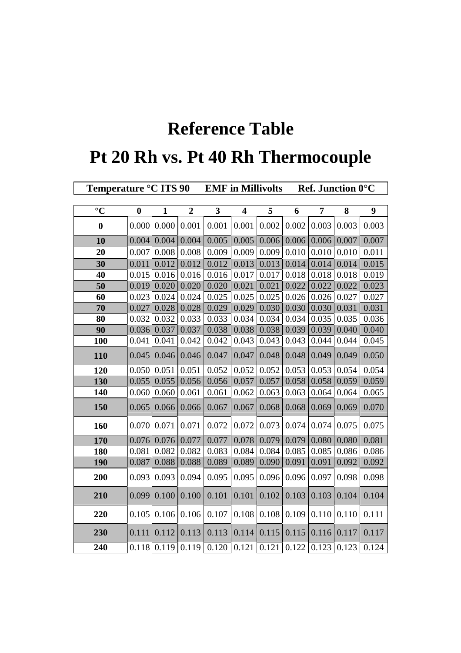## **Reference Table**

## **Pt 20 Rh vs. Pt 40 Rh Thermocouple**

|                | Temperature °C ITS 90 |                                    |                | <b>EMF</b> in Millivolts |                         |                                                     |       | <b>Ref.</b> Junction $0^{\circ}$ C |       |       |  |
|----------------|-----------------------|------------------------------------|----------------|--------------------------|-------------------------|-----------------------------------------------------|-------|------------------------------------|-------|-------|--|
|                |                       |                                    |                |                          |                         |                                                     |       |                                    |       |       |  |
| $\overline{C}$ | $\bf{0}$              | $\mathbf{1}$                       | $\overline{2}$ | $\overline{\mathbf{3}}$  | $\overline{\mathbf{4}}$ | $\overline{5}$                                      | 6     | $\overline{7}$                     | 8     | 9     |  |
| $\bf{0}$       | 0.000                 | 0.000                              | 0.001          | 0.001                    | 0.001                   | 0.002                                               | 0.002 | 0.003                              | 0.003 | 0.003 |  |
| 10             | 0.004                 | 0.004                              | 0.004          | 0.005                    | 0.005                   | 0.006                                               | 0.006 | 0.006                              | 0.007 | 0.007 |  |
| 20             | 0.007                 | 0.008                              | 0.008          | 0.009                    | 0.009                   | 0.009                                               | 0.010 | 0.010                              | 0.010 | 0.011 |  |
| 30             | 0.011                 | 0.012                              | 0.012          | 0.012                    | 0.013                   | 0.013                                               | 0.014 | 0.014                              | 0.014 | 0.015 |  |
| 40             | 0.015                 | 0.016                              | 0.016          | 0.016                    | 0.017                   | 0.017                                               | 0.018 | 0.018                              | 0.018 | 0.019 |  |
| 50             | 0.019                 | 0.020                              | 0.020          | 0.020                    | 0.021                   | 0.021                                               | 0.022 | 0.022                              | 0.022 | 0.023 |  |
| 60             | 0.023                 | 0.024                              | 0.024          | 0.025                    | 0.025                   | 0.025                                               | 0.026 | 0.026                              | 0.027 | 0.027 |  |
| 70             | 0.027                 | 0.028                              | 0.028          | 0.029                    | 0.029                   | 0.030                                               | 0.030 | 0.030                              | 0.031 | 0.031 |  |
| 80             | 0.032                 | 0.032                              | 0.033          | 0.033                    | 0.034                   | 0.034                                               | 0.034 | 0.035                              | 0.035 | 0.036 |  |
| 90             | 0.036                 | 0.037                              | 0.037          | 0.038                    | 0.038                   | 0.038                                               | 0.039 | 0.039                              | 0.040 | 0.040 |  |
| 100            | 0.041                 | 0.041                              | 0.042          | 0.042                    | 0.043                   | 0.043                                               | 0.043 | 0.044                              | 0.044 | 0.045 |  |
| <b>110</b>     | 0.045                 | 0.046                              | 0.046          | 0.047                    | 0.047                   | 0.048                                               | 0.048 | 0.049                              | 0.049 | 0.050 |  |
| 120            | 0.050                 | 0.051                              | 0.051          | 0.052                    | 0.052                   | 0.052                                               | 0.053 | 0.053                              | 0.054 | 0.054 |  |
| 130            | 0.055                 | 0.055                              | 0.056          | 0.056                    | 0.057                   | 0.057                                               | 0.058 | 0.058                              | 0.059 | 0.059 |  |
| 140            | 0.060                 | 0.060                              | 0.061          | 0.061                    | 0.062                   | 0.063                                               | 0.063 | 0.064                              | 0.064 | 0.065 |  |
| 150            | 0.065                 | 0.066                              | 0.066          | 0.067                    | 0.067                   | 0.068                                               | 0.068 | 0.069                              | 0.069 | 0.070 |  |
| 160            | 0.070                 | 0.071                              | 0.071          | 0.072                    | 0.072                   | 0.073                                               | 0.074 | 0.074                              | 0.075 | 0.075 |  |
| 170            | 0.076                 | 0.076                              | 0.077          | 0.077                    | 0.078                   | 0.079                                               | 0.079 | 0.080                              | 0.080 | 0.081 |  |
| 180            | 0.081                 | 0.082                              | 0.082          | 0.083                    | 0.084                   | 0.084                                               | 0.085 | 0.085                              | 0.086 | 0.086 |  |
| 190            | 0.087                 | 0.088                              | 0.088          | 0.089                    | 0.089                   | 0.090                                               | 0.091 | 0.091                              | 0.092 | 0.092 |  |
| 200            | 0.093                 | 0.093                              | 0.094          | 0.095                    | 0.095                   | 0.096                                               | 0.096 | 0.097                              | 0.098 | 0.098 |  |
| 210            | 0.099                 | 0.100                              | 0.100          | 0.101                    | 0.101                   | 0.102                                               | 0.103 | 0.103                              | 0.104 | 0.104 |  |
| 220            | 0.105                 | 0.106                              | 0.106          | 0.107                    | 0.108                   | 0.108                                               | 0.109 | 0.110                              | 0.110 | 0.111 |  |
| 230            | 0.111                 | 0.112                              | 0.113          | 0.113                    | 0.114                   | 0.115                                               | 0.115 | 0.116                              | 0.117 | 0.117 |  |
| 240            |                       | $0.118 \mid 0.119 \mid 0.119 \mid$ |                | 0.120                    |                         | $0.121 \mid 0.121 \mid 0.122 \mid 0.123 \mid 0.123$ |       |                                    |       | 0.124 |  |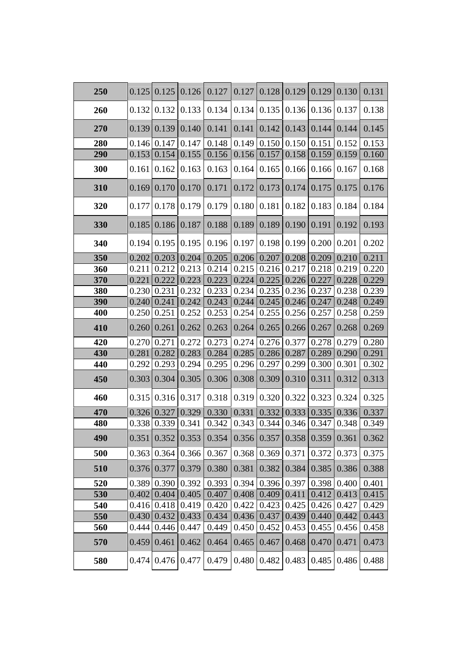| 250 | 0.125 | 0.125                   | 0.126 | 0.127 | 0.127 | 0.128 | 0.129 | 0.129                                         | 0.130 | 0.131 |
|-----|-------|-------------------------|-------|-------|-------|-------|-------|-----------------------------------------------|-------|-------|
| 260 | 0.132 | 0.132                   | 0.133 | 0.134 | 0.134 | 0.135 | 0.136 | 0.136                                         | 0.137 | 0.138 |
| 270 | 0.139 | 0.139                   | 0.140 | 0.141 | 0.141 | 0.142 | 0.143 | 0.144                                         | 0.144 | 0.145 |
| 280 | 0.146 | 0.147                   | 0.147 | 0.148 | 0.149 | 0.150 | 0.150 | 0.151                                         | 0.152 | 0.153 |
| 290 | 0.153 | 0.154                   | 0.155 | 0.156 | 0.156 | 0.157 | 0.158 | 0.159                                         | 0.159 | 0.160 |
| 300 | 0.161 | 0.162                   | 0.163 | 0.163 | 0.164 | 0.165 | 0.166 | 0.166                                         | 0.167 | 0.168 |
| 310 | 0.169 | 0.170                   | 0.170 | 0.171 | 0.172 | 0.173 | 0.174 | 0.175                                         | 0.175 | 0.176 |
| 320 | 0.177 | 0.178                   | 0.179 | 0.179 | 0.180 | 0.181 | 0.182 | 0.183                                         | 0.184 | 0.184 |
| 330 | 0.185 | 0.186                   | 0.187 | 0.188 | 0.189 | 0.189 | 0.190 | 0.191                                         | 0.192 | 0.193 |
| 340 | 0.194 | 0.195                   | 0.195 | 0.196 | 0.197 | 0.198 | 0.199 | 0.200                                         | 0.201 | 0.202 |
| 350 | 0.202 | 0.203                   | 0.204 | 0.205 | 0.206 | 0.207 | 0.208 | 0.209                                         | 0.210 | 0.211 |
| 360 | 0.211 | 0.212                   | 0.213 | 0.214 | 0.215 | 0.216 | 0.217 | 0.218                                         | 0.219 | 0.220 |
| 370 | 0.221 | 0.222                   | 0.223 | 0.223 | 0.224 | 0.225 | 0.226 | 0.227                                         | 0.228 | 0.229 |
| 380 | 0.230 | 0.231                   | 0.232 | 0.233 | 0.234 | 0.235 | 0.236 | 0.237                                         | 0.238 | 0.239 |
| 390 | 0.240 | 0.241                   | 0.242 | 0.243 | 0.244 | 0.245 | 0.246 | 0.247                                         | 0.248 | 0.249 |
| 400 | 0.250 | 0.251                   | 0.252 | 0.253 | 0.254 | 0.255 | 0.256 | 0.257                                         | 0.258 | 0.259 |
| 410 | 0.260 | 0.261                   | 0.262 | 0.263 | 0.264 | 0.265 | 0.266 | 0.267                                         | 0.268 | 0.269 |
| 420 | 0.270 | 0.271                   | 0.272 | 0.273 | 0.274 | 0.276 | 0.377 | 0.278                                         | 0.279 | 0.280 |
| 430 | 0.281 | 0.282                   | 0.283 | 0.284 | 0.285 | 0.286 | 0.287 | 0.289                                         | 0.290 | 0.291 |
| 440 | 0.292 | 0.293                   | 0.294 | 0.295 | 0.296 | 0.297 | 0.299 | 0.300                                         | 0.301 | 0.302 |
| 450 | 0.303 | 0.304                   | 0.305 | 0.306 | 0.308 | 0.309 | 0.310 | 0.311                                         | 0.312 | 0.313 |
| 460 | 0.315 | 0.316                   | 0.317 | 0.318 | 0.319 | 0.320 | 0.322 | 0.323                                         | 0.324 | 0.325 |
| 470 | 0.326 | 0.327                   | 0.329 | 0.330 | 0.331 | 0.332 | 0.333 | 0.335                                         | 0.336 | 0.337 |
| 480 | 0.338 | 0.339                   | 0.341 | 0.342 | 0.343 | 0.344 | 0.346 | 0.347                                         | 0.348 | 0.349 |
| 490 | 0.351 | 0.352                   | 0.353 | 0.354 |       |       |       | $0.356 \mid 0.357 \mid 0.358 \mid 0.359 \mid$ | 0.361 | 0.362 |
| 500 |       | $0.363 \mid 0.364 \mid$ | 0.366 | 0.367 | 0.368 | 0.369 | 0.371 | 0.372                                         | 0.373 | 0.375 |
| 510 |       | $0.376 \mid 0.377$      | 0.379 | 0.380 | 0.381 | 0.382 | 0.384 | 0.385                                         | 0.386 | 0.388 |
| 520 | 0.389 | 0.390                   | 0.392 | 0.393 | 0.394 | 0.396 | 0.397 | 0.398                                         | 0.400 | 0.401 |
| 530 | 0.402 | 0.404                   | 0.405 | 0.407 | 0.408 | 0.409 | 0.411 | 0.412                                         | 0.413 | 0.415 |
| 540 |       | $0.416 \mid 0.418 \mid$ | 0.419 | 0.420 | 0.422 | 0.423 | 0.425 | 0.426                                         | 0.427 | 0.429 |
| 550 | 0.430 | 0.432                   | 0.433 | 0.434 | 0.436 | 0.437 | 0.439 | 0.440                                         | 0.442 | 0.443 |
| 560 | 0.444 | 0.446                   | 0.447 | 0.449 | 0.450 | 0.452 | 0.453 | 0.455                                         | 0.456 | 0.458 |
| 570 | 0.459 | 0.461                   | 0.462 | 0.464 | 0.465 | 0.467 | 0.468 | 0.470                                         | 0.471 | 0.473 |
| 580 | 0.474 | 0.476                   | 0.477 | 0.479 | 0.480 | 0.482 | 0.483 | 0.485                                         | 0.486 | 0.488 |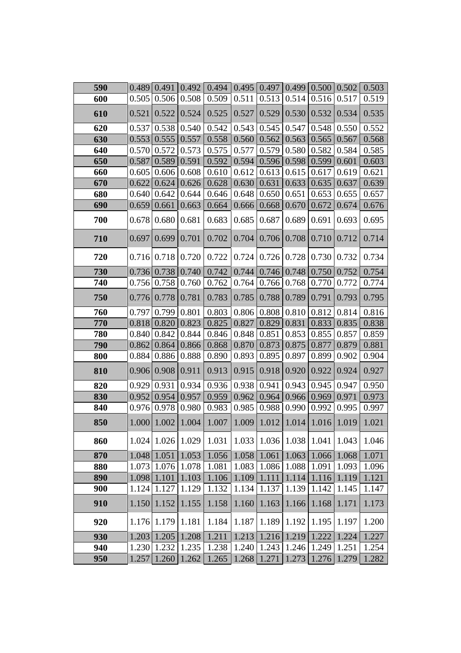| 590 | 0.489 | 0.491 | 0.492 | 0.494 | 0.495 | 0.497 | 0.499 | 0.500 | 0.502       | 0.503 |
|-----|-------|-------|-------|-------|-------|-------|-------|-------|-------------|-------|
| 600 | 0.505 | 0.506 | 0.508 | 0.509 | 0.511 | 0.513 | 0.514 | 0.516 | 0.517       | 0.519 |
| 610 | 0.521 | 0.522 | 0.524 | 0.525 | 0.527 | 0.529 | 0.530 | 0.532 | 0.534       | 0.535 |
| 620 | 0.537 | 0.538 | 0.540 | 0.542 | 0.543 | 0.545 | 0.547 | 0.548 | 0.550       | 0.552 |
| 630 | 0.553 | 0.555 | 0.557 | 0.558 | 0.560 | 0.562 | 0.563 | 0.565 | 0.567       | 0.568 |
| 640 | 0.570 | 0.572 | 0.573 | 0.575 | 0.577 | 0.579 | 0.580 | 0.582 | 0.584       | 0.585 |
| 650 | 0.587 | 0.589 | 0.591 | 0.592 | 0.594 | 0.596 | 0.598 | 0.599 | 0.601       | 0.603 |
| 660 | 0.605 | 0.606 | 0.608 | 0.610 | 0.612 | 0.613 | 0.615 | 0.617 | 0.619       | 0.621 |
| 670 | 0.622 | 0.624 | 0.626 | 0.628 | 0.630 | 0.631 | 0.633 | 0.635 | 0.637       | 0.639 |
| 680 | 0.640 | 0.642 | 0.644 | 0.646 | 0.648 | 0.650 | 0.651 | 0.653 | 0.655       | 0.657 |
| 690 | 0.659 | 0.661 | 0.663 | 0.664 | 0.666 | 0.668 | 0.670 | 0.672 | 0.674       | 0.676 |
| 700 | 0.678 | 0.680 | 0.681 | 0.683 | 0.685 | 0.687 | 0.689 | 0.691 | 0.693       | 0.695 |
| 710 | 0.697 | 0.699 | 0.701 | 0.702 | 0.704 | 0.706 | 0.708 | 0.710 | 0.712       | 0.714 |
| 720 | 0.716 | 0.718 | 0.720 | 0.722 | 0.724 | 0.726 | 0.728 | 0.730 | 0.732       | 0.734 |
| 730 | 0.736 | 0.738 | 0.740 | 0.742 | 0.744 | 0.746 | 0.748 | 0.750 | 0.752       | 0.754 |
| 740 | 0.756 | 0.758 | 0.760 | 0.762 | 0.764 | 0.766 | 0.768 | 0.770 | 0.772       | 0.774 |
| 750 | 0.776 | 0.778 | 0.781 | 0.783 | 0.785 | 0.788 | 0.789 | 0.791 | 0.793       | 0.795 |
| 760 | 0.797 | 0.799 | 0.801 | 0.803 | 0.806 | 0.808 | 0.810 | 0.812 | 0.814       | 0.816 |
| 770 | 0.818 | 0.820 | 0.823 | 0.825 | 0.827 | 0.829 | 0.831 | 0.833 | 0.835       | 0.838 |
| 780 | 0.840 | 0.842 | 0.844 | 0.846 | 0.848 | 0.851 | 0.853 | 0.855 | 0.857       | 0.859 |
| 790 | 0.862 | 0.864 | 0.866 | 0.868 | 0.870 | 0.873 | 0.875 | 0.877 | 0.879       | 0.881 |
| 800 | 0.884 | 0.886 | 0.888 | 0.890 | 0.893 | 0.895 | 0.897 | 0.899 | 0.902       | 0.904 |
| 810 | 0.906 | 0.908 | 0.911 | 0.913 | 0.915 | 0.918 | 0.920 | 0.922 | 0.924       | 0.927 |
| 820 | 0.929 | 0.931 | 0.934 | 0.936 | 0.938 | 0.941 | 0.943 | 0.945 | 0.947       | 0.950 |
| 830 | 0.952 | 0.954 | 0.957 | 0.959 | 0.962 | 0.964 | 0.966 | 0.969 | 0.971       | 0.973 |
| 840 | 0.976 | 0.978 | 0.980 | 0.983 | 0.985 | 0.988 | 0.990 | 0.992 | 0.995       | 0.997 |
| 850 | 1.000 | 1.002 | 1.004 | 1.007 | 1.009 | 1.012 | 1.014 | 1.016 | 1.019       | 1.021 |
| 860 | 1.024 | 1.026 | 1.029 | 1.031 | 1.033 | 1.036 | 1.038 | 1.041 | 1.043       | 1.046 |
| 870 | 1.048 | 1.051 | 1.053 | 1.056 | 1.058 | 1.061 | 1.063 | 1.066 | 1.068       | 1.071 |
| 880 | 1.073 | 1.076 | 1.078 | 1.081 | 1.083 | 1.086 | 1.088 | 1.091 | 1.093       | 1.096 |
| 890 | 1.098 | 1.101 | 1.103 | 1.106 | 1.109 | 1.111 | 1.114 | 1.116 | 1.119       | 1.121 |
| 900 | 1.124 | 1.127 | 1.129 | 1.132 | 1.134 | 1.137 | 1.139 | 1.142 | 1.145       | 1.147 |
| 910 | 1.150 | 1.152 | 1.155 | 1.158 | 1.160 | 1.163 | 1.166 | 1.168 | 1.171       | 1.173 |
| 920 | 1.176 | 1.179 | 1.181 | 1.184 | 1.187 | 1.189 | 1.192 | 1.195 | 1.197       | 1.200 |
| 930 | 1.203 | 1.205 | 1.208 | 1.211 | 1.213 | 1.216 | 1.219 | 1.222 | 1.224       | 1.227 |
| 940 | 1.230 | 1.232 | 1.235 | 1.238 | 1.240 | 1.243 | 1.246 | 1.249 | 1.251       | 1.254 |
| 950 | 1.257 | 1.260 | 1.262 | 1.265 | 1.268 | 1.271 | 1.273 |       | 1.276 1.279 | 1.282 |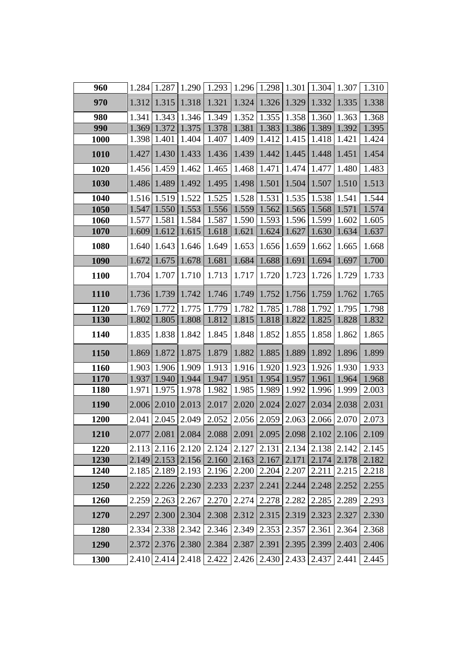| 960         |       |             | 1.284 1.287 1.290 | 1.293 |       | 1.296 1.298 1.301 1.304 1.307 |       |       |       | 1.310 |
|-------------|-------|-------------|-------------------|-------|-------|-------------------------------|-------|-------|-------|-------|
| 970         | 1.312 | 1.315       | 1.318             | 1.321 | 1.324 | 1.326                         | 1.329 | 1.332 | 1.335 | 1.338 |
| 980         | 1.341 | 1.343       | 1.346             | 1.349 | 1.352 | 1.355                         | 1.358 | 1.360 | 1.363 | 1.368 |
| 990         | 1.369 | 1.372       | 1.375             | 1.378 | 1.381 | 1.383                         | 1.386 | 1.389 | 1.392 | 1.395 |
| 1000        | 1.398 | 1.401       | 1.404             | 1.407 | 1.409 | 1.412                         | 1.415 | 1.418 | 1.421 | 1.424 |
| 1010        | 1.427 | 1.430       | 1.433             | 1.436 | 1.439 | 1.442                         | 1.445 | 1.448 | 1.451 | 1.454 |
| 1020        | 1.456 | 1.459       | 1.462             | 1.465 | 1.468 | 1.471                         | 1.474 | 1.477 | 1.480 | 1.483 |
| 1030        | 1.486 | 1.489       | 1.492             | 1.495 | 1.498 | 1.501                         | 1.504 | 1.507 | 1.510 | 1.513 |
| 1040        | 1.516 | 1.519       | 1.522             | 1.525 | 1.528 | 1.531                         | 1.535 | 1.538 | 1.541 | 1.544 |
| 1050        | 1.547 | 1.550       | 1.553             | 1.556 | 1.559 | 1.562                         | 1.565 | 1.568 | 1.571 | 1.574 |
| 1060        | 1.577 | 1.581       | 1.584             | 1.587 | 1.590 | 1.593                         | 1.596 | 1.599 | 1.602 | 1.605 |
| 1070        | 1.609 | 1.612       | 1.615             | 1.618 | 1.621 | 1.624                         | 1.627 | 1.630 | 1.634 | 1.637 |
| 1080        | 1.640 | 1.643       | 1.646             | 1.649 | 1.653 | 1.656                         | 1.659 | 1.662 | 1.665 | 1.668 |
| 1090        | 1.672 | 1.675       | 1.678             | 1.681 | 1.684 | 1.688                         | 1.691 | 1.694 | 1.697 | 1.700 |
| 1100        | 1.704 | 1.707       | 1.710             | 1.713 | 1.717 | 1.720                         | 1.723 | 1.726 | 1.729 | 1.733 |
| <b>1110</b> |       | 1.736 1.739 | 1.742             | 1.746 | 1.749 | 1.752                         | 1.756 | 1.759 | 1.762 | 1.765 |
| 1120        | 1.769 | 1.772       | 1.775             | 1.779 | 1.782 | 1.785                         | 1.788 | 1.792 | 1.795 | 1.798 |
| 1130        | 1.802 | 1.805       | 1.808             | 1.812 | 1.815 | 1.818                         | 1.822 | 1.825 | 1.828 | 1.832 |
| 1140        | 1.835 | 1.838       | 1.842             | 1.845 | 1.848 | 1.852                         | 1.855 | 1.858 | 1.862 | 1.865 |
| 1150        | 1.869 | 1.872       | 1.875             | 1.879 | 1.882 | 1.885                         | 1.889 | 1.892 | 1.896 | 1.899 |
| 1160        | 1.903 | 1.906       | 1.909             | 1.913 | 1.916 | 1.920                         | 1.923 | 1.926 | 1.930 | 1.933 |
| 1170        | 1.937 | 1.940       | 1.944             | 1.947 | 1.951 | 1.954                         | 1.957 | 1.961 | 1.964 | 1.968 |
| <b>1180</b> | 1.971 | 1.975       | 1.978             | 1.982 | 1.985 | 1.989                         | 1.992 | 1.996 | 1.999 | 2.003 |
| <b>1190</b> | 2.006 | 2.010       | 2.013             | 2.017 | 2.020 | 2.024                         | 2.027 | 2.034 | 2.038 | 2.031 |
| 1200        | 2.041 | 2.045       | 2.049             | 2.052 | 2.056 | 2.059                         | 2.063 | 2.066 | 2.070 | 2.073 |
| 1210        | 2.077 | 2.081       | 2.084             | 2.088 | 2.091 | 2.095                         | 2.098 | 2.102 | 2.106 | 2.109 |
| 1220        | 2.113 | 2.116       | 2.120             | 2.124 | 2.127 | 2.131                         | 2.134 | 2.138 | 2.142 | 2.145 |
| 1230        | 2.149 | 2.153       | 2.156             | 2.160 | 2.163 | 2.167                         | 2.171 | 2.174 | 2.178 | 2.182 |
| 1240        | 2.185 | 2.189       | 2.193             | 2.196 | 2.200 | 2.204                         | 2.207 | 2.211 | 2.215 | 2.218 |
| 1250        | 2.222 | 2.226       | 2.230             | 2.233 | 2.237 | 2.241                         | 2.244 | 2.248 | 2.252 | 2.255 |
| 1260        | 2.259 | 2.263       | 2.267             | 2.270 | 2.274 | 2.278                         | 2.282 | 2.285 | 2.289 | 2.293 |
| 1270        | 2.297 | 2.300       | 2.304             | 2.308 | 2.312 | 2.315                         | 2.319 | 2.323 | 2.327 | 2.330 |
| 1280        | 2.334 | 2.338       | 2.342             | 2.346 | 2.349 | 2.353                         | 2.357 | 2.361 | 2.364 | 2.368 |
| 1290        | 2.372 | 2.376       | 2.380             | 2.384 | 2.387 | 2.391                         | 2.395 | 2.399 | 2.403 | 2.406 |
| 1300        | 2.410 | 2.414       | 2.418             | 2.422 | 2.426 | 2.430                         | 2.433 | 2.437 | 2.441 | 2.445 |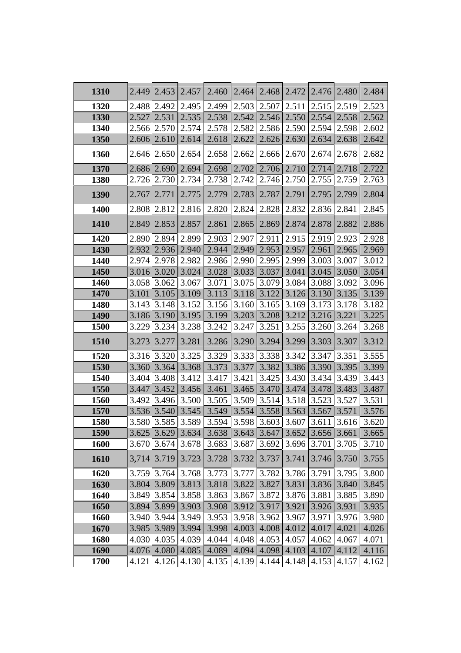| 1310 | 2.449 | 2.453         | 2.457 | 2.460 | 2.464 | 2.468 | 2.472 | 2.476 | 2.480 | 2.484 |
|------|-------|---------------|-------|-------|-------|-------|-------|-------|-------|-------|
| 1320 | 2.488 | 2.492         | 2.495 | 2.499 | 2.503 | 2.507 | 2.511 | 2.515 | 2.519 | 2.523 |
| 1330 | 2.527 | 2.531         | 2.535 | 2.538 | 2.542 | 2.546 | 2.550 | 2.554 | 2.558 | 2.562 |
| 1340 | 2.566 | 2.570         | 2.574 | 2.578 | 2.582 | 2.586 | 2.590 | 2.594 | 2.598 | 2.602 |
| 1350 | 2.606 | 2.610         | 2.614 | 2.618 | 2.622 | 2.626 | 2.630 | 2.634 | 2.638 | 2.642 |
| 1360 | 2.646 | 2.650         | 2.654 | 2.658 | 2.662 | 2.666 | 2.670 | 2.674 | 2.678 | 2.682 |
| 1370 | 2.686 | 2.690         | 2.694 | 2.698 | 2.702 | 2.706 | 2.710 | 2.714 | 2.718 | 2.722 |
| 1380 | 2.726 | 2.730         | 2.734 | 2.738 | 2.742 | 2.746 | 2.750 | 2.755 | 2.759 | 2.763 |
| 1390 | 2.767 | 2.771         | 2.775 | 2.779 | 2.783 | 2.787 | 2.791 | 2.795 | 2.799 | 2.804 |
| 1400 | 2.808 | 2.812         | 2.816 | 2.820 | 2.824 | 2.828 | 2.832 | 2.836 | 2.841 | 2.845 |
| 1410 | 2.849 | 2.853         | 2.857 | 2.861 | 2.865 | 2.869 | 2.874 | 2.878 | 2.882 | 2.886 |
| 1420 | 2.890 | 2.894         | 2.899 | 2.903 | 2.907 | 2.911 | 2.915 | 2.919 | 2.923 | 2.928 |
| 1430 | 2.932 | 2.936         | 2.940 | 2.944 | 2.949 | 2.953 | 2.957 | 2.961 | 2.965 | 2.969 |
| 1440 | 2.974 | 2.978         | 2.982 | 2.986 | 2.990 | 2.995 | 2.999 | 3.003 | 3.007 | 3.012 |
| 1450 | 3.016 | 3.020         | 3.024 | 3.028 | 3.033 | 3.037 | 3.041 | 3.045 | 3.050 | 3.054 |
| 1460 | 3.058 | 3.062         | 3.067 | 3.071 | 3.075 | 3.079 | 3.084 | 3.088 | 3.092 | 3.096 |
| 1470 | 3.101 | 3.105         | 3.109 | 3.113 | 3.118 | 3.122 | 3.126 | 3.130 | 3.135 | 3.139 |
| 1480 | 3.143 | 3.148         | 3.152 | 3.156 | 3.160 | 3.165 | 3.169 | 3.173 | 3.178 | 3.182 |
| 1490 | 3.186 | 3.190         | 3.195 | 3.199 | 3.203 | 3.208 | 3.212 | 3.216 | 3.221 | 3.225 |
| 1500 | 3.229 | 3.234         | 3.238 | 3.242 | 3.247 | 3.251 | 3.255 | 3.260 | 3.264 | 3.268 |
| 1510 | 3.273 | 3.277         | 3.281 | 3.286 | 3.290 | 3.294 | 3.299 | 3.303 | 3.307 | 3.312 |
| 1520 | 3.316 | 3.320         | 3.325 | 3.329 | 3.333 | 3.338 | 3.342 | 3.347 | 3.351 | 3.555 |
| 1530 | 3.360 | 3.364         | 3.368 | 3.373 | 3.377 | 3.382 | 3.386 | 3.390 | 3.395 | 3.399 |
| 1540 | 3.404 | 3.408         | 3.412 | 3.417 | 3.421 | 3.425 | 3.430 | 3.434 | 3.439 | 3.443 |
| 1550 | 3.447 | 3.452         | 3.456 | 3.461 | 3.465 | 3.470 | 3.474 | 3.478 | 3.483 | 3.487 |
| 1560 | 3.492 | 3.496         | 3.500 | 3.505 | 3.509 | 3.514 | 3.518 | 3.523 | 3.527 | 3.531 |
| 1570 | 3.536 | 3.540         | 3.545 | 3.549 | 3.554 | 3.558 | 3.563 | 3.567 | 3.571 | 3.576 |
| 1580 | 3.580 | 3.585         | 3.589 | 3.594 | 3.598 | 3.603 | 3.607 | 3.611 | 3.616 | 3.620 |
| 1590 | 3.625 | 3.629         | 3.634 | 3.638 | 3.643 | 3.647 | 3.652 | 3.656 | 3.661 | 3.665 |
| 1600 | 3.670 | 3.674         | 3.678 | 3.683 | 3.687 | 3.692 | 3.696 | 3.701 | 3.705 | 3.710 |
| 1610 | 3,714 | 3.719         | 3.723 | 3.728 | 3.732 | 3.737 | 3.741 | 3.746 | 3.750 | 3.755 |
| 1620 |       | $3.759$ 3.764 | 3.768 | 3.773 | 3.777 | 3.782 | 3.786 | 3.791 | 3.795 | 3.800 |
| 1630 | 3.804 | 3.809         | 3.813 | 3.818 | 3.822 | 3.827 | 3.831 | 3.836 | 3.840 | 3.845 |
| 1640 | 3.849 | 3.854         | 3.858 | 3.863 | 3.867 | 3.872 | 3.876 | 3.881 | 3.885 | 3.890 |
| 1650 | 3.894 | 3.899         | 3.903 | 3.908 | 3.912 | 3.917 | 3.921 | 3.926 | 3.931 | 3.935 |
| 1660 | 3.940 | 3.944         | 3.949 | 3.953 | 3.958 | 3.962 | 3.967 | 3.971 | 3.976 | 3.980 |
| 1670 | 3.985 | 3.989         | 3.994 | 3.998 | 4.003 | 4.008 | 4.012 | 4.017 | 4.021 | 4.026 |
| 1680 | 4.030 | 4.035         | 4.039 | 4.044 | 4.048 | 4.053 | 4.057 | 4.062 | 4.067 | 4.071 |
| 1690 | 4.076 | 4.080         | 4.085 | 4.089 | 4.094 | 4.098 | 4.103 | 4.107 | 4.112 | 4.116 |
| 1700 | 4.121 | 4.126         | 4.130 | 4.135 | 4.139 | 4.144 | 4.148 | 4.153 | 4.157 | 4.162 |